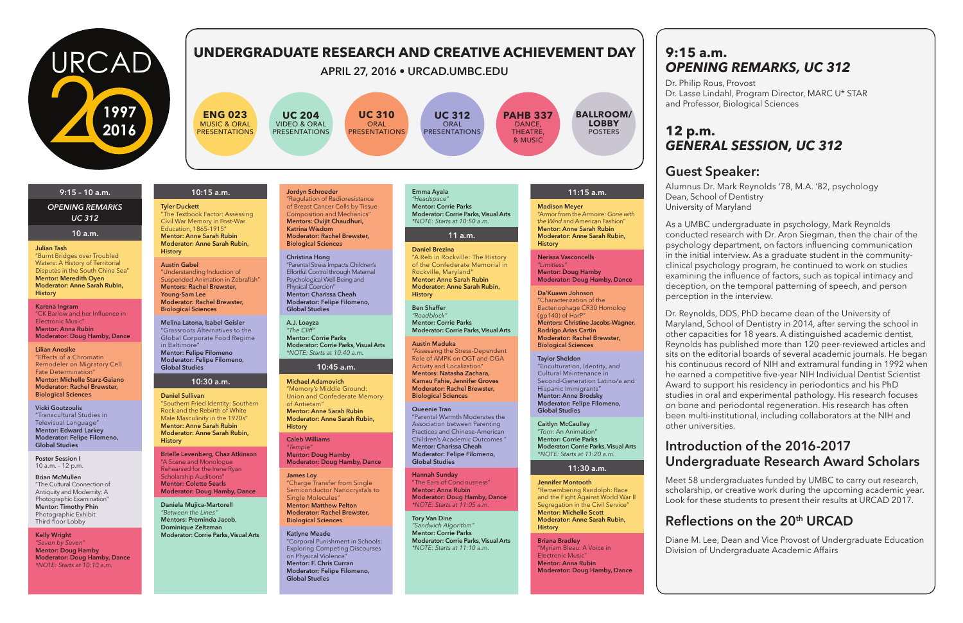**9:15 a.m.** 

# *OPENING REMARKS, UC 312*

Dr. Philip Rous, Provost Dr. Lasse Lindahl, Program Director, MARC U\* STAR and Professor, Biological Sciences

## **12 p.m.** *GENERAL SESSION, UC 312*

## **Guest Speaker:**

Alumnus Dr. Mark Reynolds '78, M.A. '82, psychology Dean, School of Dentistry University of Maryland

As a UMBC undergraduate in psychology, Mark Reynolds conducted research with Dr. Aron Siegman, then the chair of the psychology department, on factors influencing communication in the initial interview. As a graduate student in the communityclinical psychology program, he continued to work on studies examining the influence of factors, such as topical intimacy and deception, on the temporal patterning of speech, and person perception in the interview.

Dr. Reynolds, DDS, PhD became dean of the University of Maryland, School of Dentistry in 2014, after serving the school in other capacities for 18 years. A distinguished academic dentist, Reynolds has published more than 120 peer-reviewed articles and sits on the editorial boards of several academic journals. He began his continuous record of NIH and extramural funding in 1992 when he earned a competitive five-year NIH Individual Dentist Scientist Award to support his residency in periodontics and his PhD studies in oral and experimental pathology. His research focuses on bone and periodontal regeneration. His research has often been multi-institutional, including collaborators at the NIH and other universities.

## **Introduction of the 2016-2017 Undergraduate Research Award Scholars**

Meet 58 undergraduates funded by UMBC to carry out research, scholarship, or creative work during the upcoming academic year. Look for these students to present their results at URCAD 2017.

## **Reflections on the 20th URCAD**

Diane M. Lee, Dean and Vice Provost of Undergraduate Education Division of Undergraduate Academic Affairs

#### **9:15 – 10 a.m.**

*OPENING REMARKS UC 312*

#### **10 a.m.**

#### **Julian Tash**

"Burnt Bridges over Troubled Waters: A History of Territorial Disputes in the South China Sea" **Mentor: Meredith Oyen Moderator: Anne Sarah Rubin, History**

**Karena Ingram** "CK Barlow and her Influence in Electronic Music" **Mentor: Anna Rubin Moderator: Doug Hamby, Dance**

#### **Lilian Anosike**

"Effects of a Chromatin Remodeler on Migratory Cell Fate Determination" **Mentor: Michelle Starz-Gaiano Moderator: Rachel Brewster, Biological Sciences**

**Vicki Goutzoulis** "Transcultural Studies in Televisual Language" **Mentor: Edward Larkey Moderator: Felipe Filomeno, Global Studies**

**Poster Session I** 10 a.m. – 12 p.m.

**Brian McMullen** "The Cultural Connection of Antiquity and Modernity: A Photographic Examination" **Mentor: Timothy Phin** Photographic Exhibit Third-floor Lobby

#### **Kelly Wright**

*"Seven by Seven"* **Mentor: Doug Hamby Moderator: Doug Hamby, Dance** *\*NOTE: Starts at 10:10 a.m.*

## **10:15 a.m.**

**Tyler Duckett** "The Textbook Factor: Assessing Civil War Memory in Post-War Education, 1865-1915" **Mentor: Anne Sarah Rubin Moderator: Anne Sarah Rubin, History**

**Austin Gabel** "Understanding Induction of Suspended Animation in Zebrafish" **Mentors: Rachel Brewster, Young-Sam Lee Moderator: Rachel Brewster, Biological Sciences**

**Melina Latona, Isabel Geisler** "Grassroots Alternatives to the Global Corporate Food Regime in Baltimore" **Mentor: Felipe Filomeno Moderator: Felipe Filomeno, Global Studies**

#### **10:30 a.m.**

**Daniel Sullivan** "Southern Fried Identity: Southern Rock and the Rebirth of White Male Masculinity in the 1970s" **Mentor: Anne Sarah Rubin Moderator: Anne Sarah Rubin, History**

**UC 312** ORAL **PRESENTATIONS** 

**Brielle Levenberg, Chaz Atkinson** "A Scene and Monologue Rehearsed for the Irene Ryan Scholarship Auditions" **Mentor: Colette Searls Moderator: Doug Hamby, Dance**

**Daniela Mujica-Martorell** *"Between the Lines"* **Mentors: Preminda Jacob, Dominique Zeltzman Moderator: Corrie Parks, Visual Arts** **Jordyn Schroeder** "Regulation of Radioresistance of Breast Cancer Cells by Tissue Composition and Mechanics" **Mentors: Ovijit Chaudhuri, Katrina Wisdom Moderator: Rachel Brewster, Biological Sciences**

**Christina Hong** "Parental Stress Impacts Children's Effortful Control through Maternal Psychological Well-Being and Physical Coercion" **Mentor: Charissa Cheah Moderator: Felipe Filomeno, Global Studies**

**A.J. Loayza** *"The Cliff"* **Mentor: Corrie Parks Moderator: Corrie Parks, Visual Arts** *\*NOTE: Starts at 10:40 a.m.*

#### **10:45 a.m.**

**Michael Adamovich** "Memory's Middle Ground: Union and Confederate Memory of Antietam" **Mentor: Anne Sarah Rubin**

**Moderator: Anne Sarah Rubin, History**

**Caleb Williams** *"Temple"* **Mentor: Doug Hamby Moderator: Doug Hamby, Dance**

**James Loy** "Charge Transfer from Single Semiconductor Nanocrystals to Single Molecules" **Mentor: Matthew Pelton Moderator: Rachel Brewster, Biological Sciences**

**Katlyne Meade** "Corporal Punishment in Schools: Exploring Competing Discourses on Physical Violence" **Mentor: F. Chris Curran Moderator: Felipe Filomeno, Global Studies**

**Emma Ayala** *"Headspace"* **Mentor: Corrie Parks Moderator: Corrie Parks, Visual Arts** *\*NOTE: Starts at 10:50 a.m.*

## **11 a.m.**

**Daniel Brezina** "A Reb in Rockville: The History of the Confederate Memorial in Rockville, Maryland" **Mentor: Anne Sarah Rubin Moderator: Anne Sarah Rubin, History**

**Ben Shaffer** *"Roadblock"* **Mentor: Corrie Parks Moderator: Corrie Parks, Visual Arts**

**Austin Maduka** "Assessing the Stress-Dependent Role of AMPK on OGT and OGA Activity and Localization" **Mentors: Natasha Zachara, Kamau Fahie, Jennifer Groves Moderator: Rachel Brewster, Biological Sciences**

**Queenie Tran** "Parental Warmth Moderates the Association between Parenting Practices and Chinese-American Children's Academic Outcomes " **Mentor: Charissa Cheah Moderator: Felipe Filomeno, Global Studies**

**Hannah Sunday** "The Ears of Conciousness" **Mentor: Anna Rubin Moderator: Doug Hamby, Dance** *\*NOTE: Starts at 11:05 a.m.*

**Tory Van Dine** *"Sandwich Algorithm"* **Mentor: Corrie Parks Moderator: Corrie Parks, Visual Arts** *\*NOTE: Starts at 11:10 a.m.*

#### **11:15 a.m. Madison Meyer**

"Armor from the Armoire: *Gone with the Wind* and American Fashion" **Mentor: Anne Sarah Rubin Moderator: Anne Sarah Rubin, History**

**Nerissa Vasconcells** *"Limitless"* **Mentor: Doug Hamby Moderator: Doug Hamby, Dance**

**Da'Kuawn Johnson**

"Characterization of the Bacteriophage CR30 Homolog (gp140) of HarP" **Mentors: Christine Jacobs-Wagner, Rodrigo Arias Cartin Moderator: Rachel Brewster, Biological Sciences**

**Taylor Sheldon** "Enculturation, Identity, and Cultural Maintenance in Second-Generation Latino/a and Hispanic Immigrants" **Mentor: Anne Brodsky**

**Moderator: Felipe Filomeno,** 

**Global Studies Caitlyn McCaulley** "*Torn*: An Animation" **Mentor: Corrie Parks Moderator: Corrie Parks, Visual Arts** *\*NOTE: Starts at 11:20 a.m.*

## **11:30 a.m.**

**Jennifer Montooth** "Remembering Randolph: Race and the Fight Against World War II Segregation in the Civil Service" **Mentor: Michelle Scott Moderator: Anne Sarah Rubin, History**

**Briana Bradley** "Myriam Bleau: A Voice in Electronic Music" **Mentor: Anna Rubin Moderator: Doug Hamby, Dance**



**ENG 023** MUSIC & ORAL PRESENTATIONS

**UC 204** VIDEO & ORAL PRESENTATIONS

**UC 310** ORAL PRESENTATIONS



### **APRIL 27, 2016 • URCAD.UMBC.EDU**

## **UNDERGRADUATE RESEARCH AND CREATIVE ACHIEVEMENT DAY**